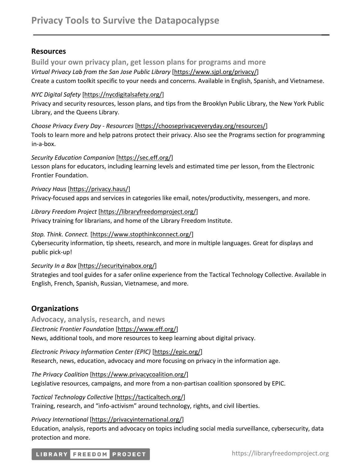# **Resources**

**Build your own privacy plan, get lesson plans for programs and more** *Virtual Privacy Lab from the San Jose Public Library* [\[https://www.sjpl.org/privacy/\]](https://www.sjpl.org/privacy) Create a custom toolkit specific to your needs and concerns. Available in English, Spanish, and Vietnamese.

## *NYC Digital Safety* [https://nycdigitalsafety.org/]

Privacy and security resources, lesson plans, and tips from the Brooklyn Public Library, the New York Public Library, and the Queens Library.

*Choose Privacy Every Day - Resources* [\[https://chooseprivacyeveryday.org/resources/\]](https://chooseprivacyeveryday.org/resources/) Tools to learn more and help patrons protect their privacy. Also see the Programs section for programming in-a-box.

*Security Education Companion* [\[https://sec.eff.org/\]](https://sec.eff.org/)

Lesson plans for educators, including learning levels and estimated time per lesson, from the Electronic Frontier Foundation.

*Privacy Haus* [\[https://privacy.haus/\]](https://privacy.haus/)

Privacy-focused apps and services in categories like email, notes/productivity, messengers, and more.

*Library Freedom Project* [https://libraryfreedomproject.org/] Privacy training for librarians, and home of the Library Freedom Institute.

## *Stop. Think. Connect.* [\[https://www.stopthinkconnect.org/\]](https://www.stopthinkconnect.org/)

Cybersecurity information, tip sheets, research, and more in multiple languages. Great for displays and public pick-up!

#### *Security In a Box* [\[https://securityinabox.org/\]](https://securityinabox.org/)

Strategies and tool guides for a safer online experience from the Tactical Technology Collective. Available in English, French, Spanish, Russian, Vietnamese, and more.

# **Organizations**

**Advocacy, analysis, research, and news** *Electronic Frontier Foundation* [\[https://www.eff.org/\]](https://www.eff.org/) News, additional tools, and more resources to keep learning about digital privacy.

*Electronic Privacy Information Center (EPIC)* [\[https://epic.org/\]](https://epic.org/) Research, news, education, advocacy and more focusing on privacy in the information age.

*The Privacy Coalition* [https://www.privacycoalition.org/] Legislative resources, campaigns, and more from a non-partisan coalition sponsored by EPIC.

*Tactical Technology Collective* [https://tacticaltech.org/] Training, research, and "info-activism" around technology, rights, and civil liberties.

*Privacy International* [https://privacyinternational.org/] Education, analysis, reports and advocacy on topics including social media surveillance, cybersecurity, data protection and more.

# LIBRARY FREEDOM PROJECT